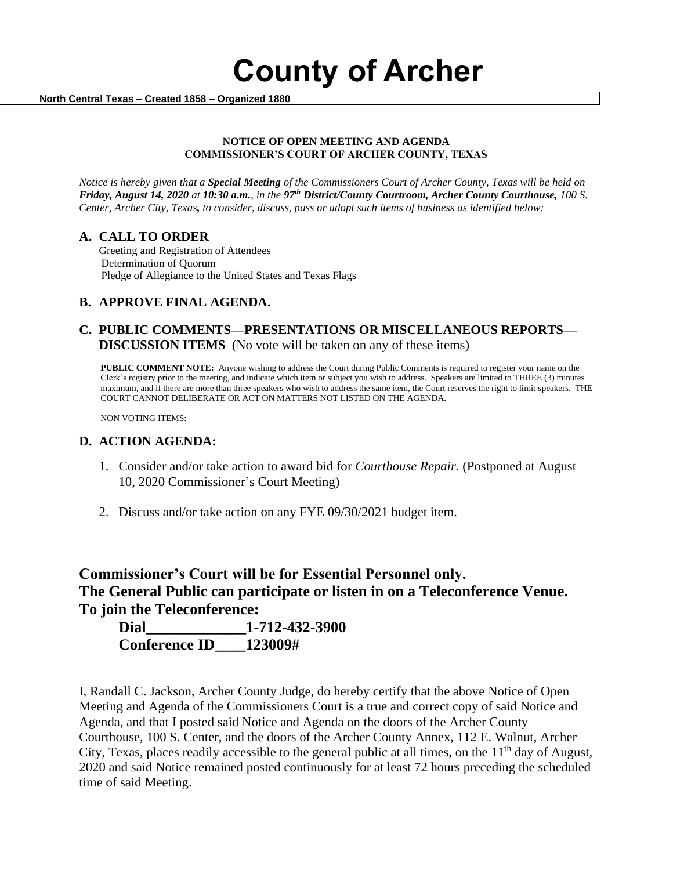**County of Archer** 

 **North Central Texas – Created 1858 – Organized 1880**

#### **NOTICE OF OPEN MEETING AND AGENDA COMMISSIONER'S COURT OF ARCHER COUNTY, TEXAS**

*Notice is hereby given that a Special Meeting of the Commissioners Court of Archer County, Texas will be held on Friday, August 14, 2020 at 10:30 a.m., in the 97th District/County Courtroom, Archer County Courthouse, 100 S. Center, Archer City, Texas, to consider, discuss, pass or adopt such items of business as identified below:*

#### **A. CALL TO ORDER**

 Greeting and Registration of Attendees Determination of Quorum Pledge of Allegiance to the United States and Texas Flags

## **B. APPROVE FINAL AGENDA.**

### **C. PUBLIC COMMENTS—PRESENTATIONS OR MISCELLANEOUS REPORTS— DISCUSSION ITEMS** (No vote will be taken on any of these items)

**PUBLIC COMMENT NOTE:** Anyone wishing to address the Court during Public Comments is required to register your name on the Clerk's registry prior to the meeting, and indicate which item or subject you wish to address. Speakers are limited to THREE (3) minutes maximum, and if there are more than three speakers who wish to address the same item, the Court reserves the right to limit speakers. THE COURT CANNOT DELIBERATE OR ACT ON MATTERS NOT LISTED ON THE AGENDA.

NON VOTING ITEMS:

#### **D. ACTION AGENDA:**

- 1. Consider and/or take action to award bid for *Courthouse Repair.* (Postponed at August 10, 2020 Commissioner's Court Meeting)
- 2. Discuss and/or take action on any FYE 09/30/2021 budget item.

# **Commissioner's Court will be for Essential Personnel only. The General Public can participate or listen in on a Teleconference Venue. To join the Teleconference:**

| Dial                 | 1-712-432-3900 |
|----------------------|----------------|
| <b>Conference ID</b> | 123009#        |

I, Randall C. Jackson, Archer County Judge, do hereby certify that the above Notice of Open Meeting and Agenda of the Commissioners Court is a true and correct copy of said Notice and Agenda, and that I posted said Notice and Agenda on the doors of the Archer County Courthouse, 100 S. Center, and the doors of the Archer County Annex, 112 E. Walnut, Archer City, Texas, places readily accessible to the general public at all times, on the  $11<sup>th</sup>$  day of August, 2020 and said Notice remained posted continuously for at least 72 hours preceding the scheduled time of said Meeting.